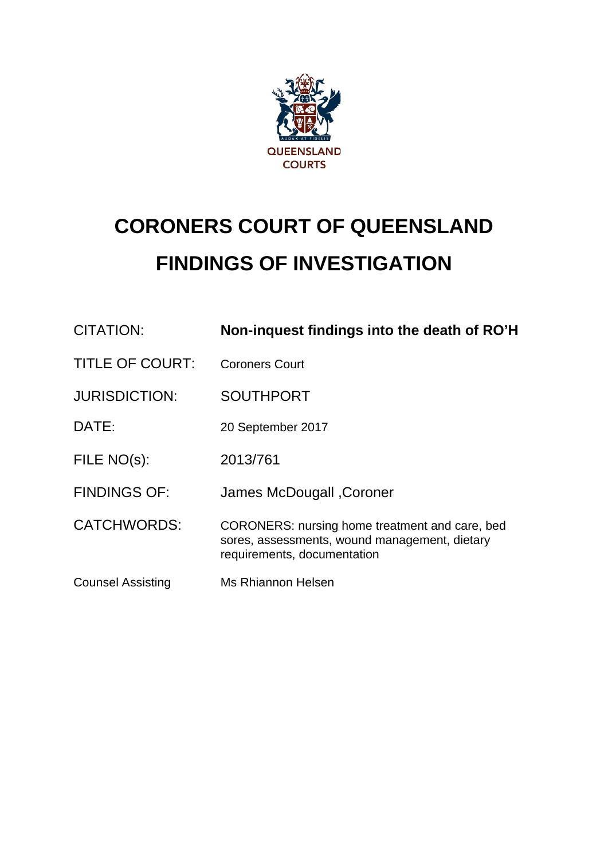

# **CORONERS COURT OF QUEENSLAND FINDINGS OF INVESTIGATION**

| <b>CITATION:</b>         | Non-inquest findings into the death of RO'H                                                                                    |
|--------------------------|--------------------------------------------------------------------------------------------------------------------------------|
| <b>TITLE OF COURT:</b>   | <b>Coroners Court</b>                                                                                                          |
| <b>JURISDICTION:</b>     | <b>SOUTHPORT</b>                                                                                                               |
| DATE:                    | 20 September 2017                                                                                                              |
| FILE NO(s):              | 2013/761                                                                                                                       |
| <b>FINDINGS OF:</b>      | James McDougall , Coroner                                                                                                      |
| <b>CATCHWORDS:</b>       | CORONERS: nursing home treatment and care, bed<br>sores, assessments, wound management, dietary<br>requirements, documentation |
| <b>Counsel Assisting</b> | <b>Ms Rhiannon Helsen</b>                                                                                                      |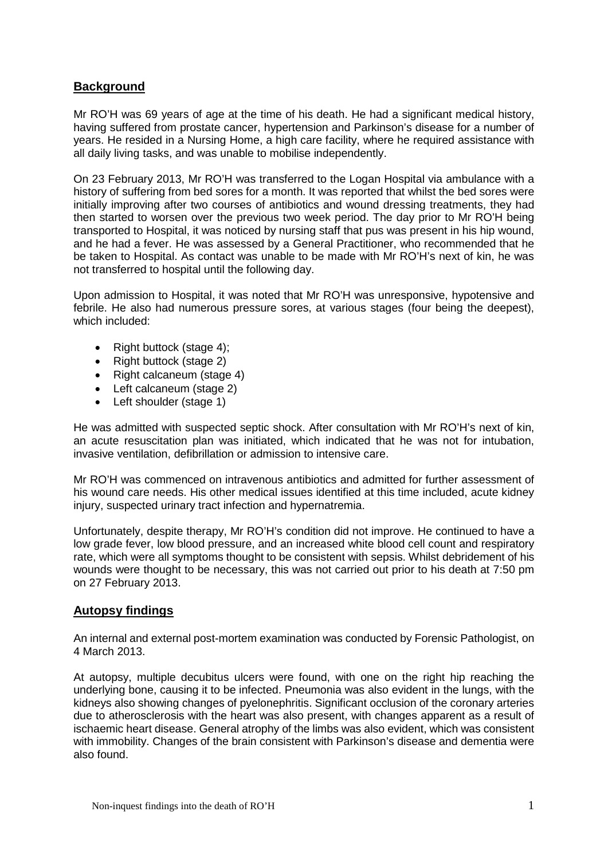#### **Background**

Mr RO'H was 69 years of age at the time of his death. He had a significant medical history, having suffered from prostate cancer, hypertension and Parkinson's disease for a number of years. He resided in a Nursing Home, a high care facility, where he required assistance with all daily living tasks, and was unable to mobilise independently.

On 23 February 2013, Mr RO'H was transferred to the Logan Hospital via ambulance with a history of suffering from bed sores for a month. It was reported that whilst the bed sores were initially improving after two courses of antibiotics and wound dressing treatments, they had then started to worsen over the previous two week period. The day prior to Mr RO'H being transported to Hospital, it was noticed by nursing staff that pus was present in his hip wound, and he had a fever. He was assessed by a General Practitioner, who recommended that he be taken to Hospital. As contact was unable to be made with Mr RO'H's next of kin, he was not transferred to hospital until the following day.

Upon admission to Hospital, it was noted that Mr RO'H was unresponsive, hypotensive and febrile. He also had numerous pressure sores, at various stages (four being the deepest), which included:

- Right buttock (stage 4);
- Right buttock (stage 2)
- Right calcaneum (stage 4)
- Left calcaneum (stage 2)
- Left shoulder (stage 1)

He was admitted with suspected septic shock. After consultation with Mr RO'H's next of kin, an acute resuscitation plan was initiated, which indicated that he was not for intubation, invasive ventilation, defibrillation or admission to intensive care.

Mr RO'H was commenced on intravenous antibiotics and admitted for further assessment of his wound care needs. His other medical issues identified at this time included, acute kidney injury, suspected urinary tract infection and hypernatremia.

Unfortunately, despite therapy, Mr RO'H's condition did not improve. He continued to have a low grade fever, low blood pressure, and an increased white blood cell count and respiratory rate, which were all symptoms thought to be consistent with sepsis. Whilst debridement of his wounds were thought to be necessary, this was not carried out prior to his death at 7:50 pm on 27 February 2013.

## **Autopsy findings**

An internal and external post-mortem examination was conducted by Forensic Pathologist, on 4 March 2013.

At autopsy, multiple decubitus ulcers were found, with one on the right hip reaching the underlying bone, causing it to be infected. Pneumonia was also evident in the lungs, with the kidneys also showing changes of pyelonephritis. Significant occlusion of the coronary arteries due to atherosclerosis with the heart was also present, with changes apparent as a result of ischaemic heart disease. General atrophy of the limbs was also evident, which was consistent with immobility. Changes of the brain consistent with Parkinson's disease and dementia were also found.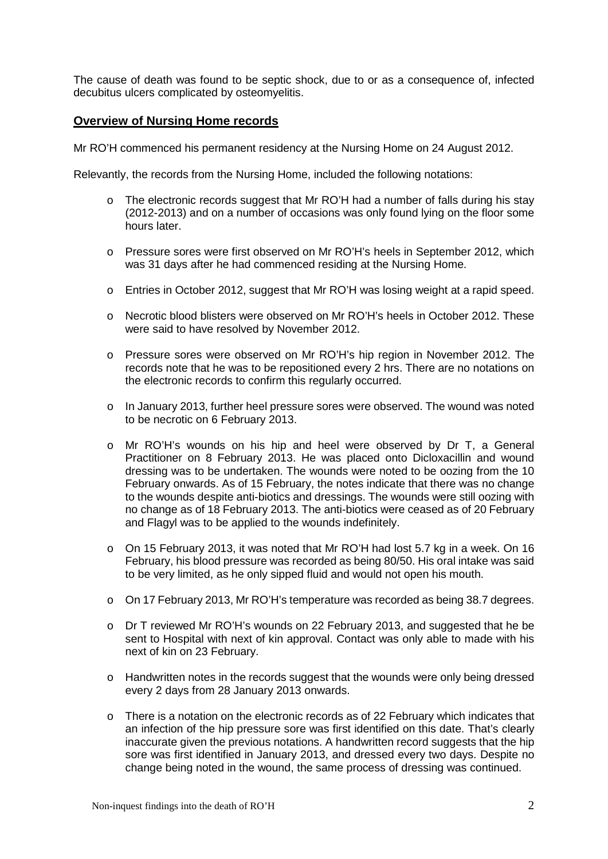The cause of death was found to be septic shock, due to or as a consequence of, infected decubitus ulcers complicated by osteomyelitis.

#### **Overview of Nursing Home records**

Mr RO'H commenced his permanent residency at the Nursing Home on 24 August 2012.

Relevantly, the records from the Nursing Home, included the following notations:

- $\circ$  The electronic records suggest that Mr RO'H had a number of falls during his stay (2012-2013) and on a number of occasions was only found lying on the floor some hours later.
- o Pressure sores were first observed on Mr RO'H's heels in September 2012, which was 31 days after he had commenced residing at the Nursing Home.
- o Entries in October 2012, suggest that Mr RO'H was losing weight at a rapid speed.
- o Necrotic blood blisters were observed on Mr RO'H's heels in October 2012. These were said to have resolved by November 2012.
- o Pressure sores were observed on Mr RO'H's hip region in November 2012. The records note that he was to be repositioned every 2 hrs. There are no notations on the electronic records to confirm this regularly occurred.
- o In January 2013, further heel pressure sores were observed. The wound was noted to be necrotic on 6 February 2013.
- o Mr RO'H's wounds on his hip and heel were observed by Dr T, a General Practitioner on 8 February 2013. He was placed onto Dicloxacillin and wound dressing was to be undertaken. The wounds were noted to be oozing from the 10 February onwards. As of 15 February, the notes indicate that there was no change to the wounds despite anti-biotics and dressings. The wounds were still oozing with no change as of 18 February 2013. The anti-biotics were ceased as of 20 February and Flagyl was to be applied to the wounds indefinitely.
- o On 15 February 2013, it was noted that Mr RO'H had lost 5.7 kg in a week. On 16 February, his blood pressure was recorded as being 80/50. His oral intake was said to be very limited, as he only sipped fluid and would not open his mouth.
- o On 17 February 2013, Mr RO'H's temperature was recorded as being 38.7 degrees.
- o Dr T reviewed Mr RO'H's wounds on 22 February 2013, and suggested that he be sent to Hospital with next of kin approval. Contact was only able to made with his next of kin on 23 February.
- o Handwritten notes in the records suggest that the wounds were only being dressed every 2 days from 28 January 2013 onwards.
- o There is a notation on the electronic records as of 22 February which indicates that an infection of the hip pressure sore was first identified on this date. That's clearly inaccurate given the previous notations. A handwritten record suggests that the hip sore was first identified in January 2013, and dressed every two days. Despite no change being noted in the wound, the same process of dressing was continued.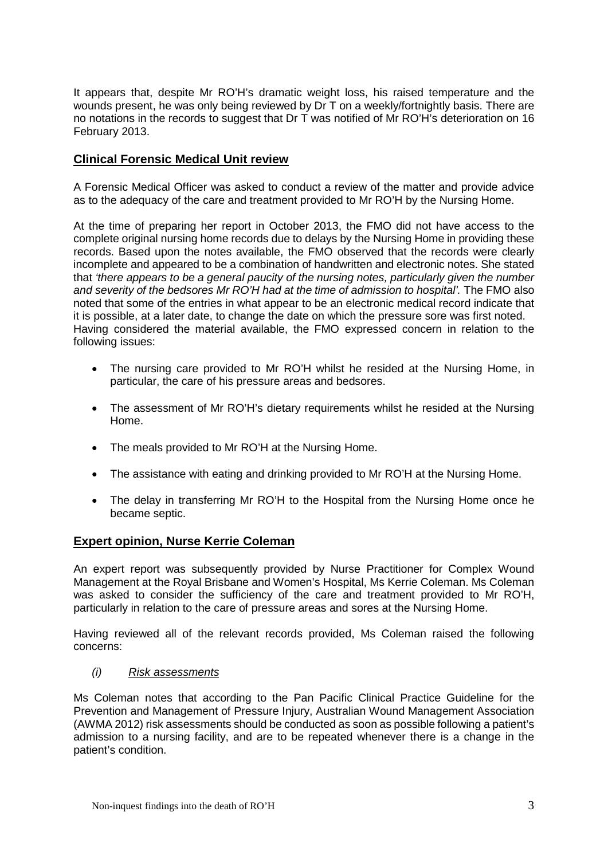It appears that, despite Mr RO'H's dramatic weight loss, his raised temperature and the wounds present, he was only being reviewed by Dr T on a weekly/fortnightly basis. There are no notations in the records to suggest that Dr T was notified of Mr RO'H's deterioration on 16 February 2013.

## **Clinical Forensic Medical Unit review**

A Forensic Medical Officer was asked to conduct a review of the matter and provide advice as to the adequacy of the care and treatment provided to Mr RO'H by the Nursing Home.

At the time of preparing her report in October 2013, the FMO did not have access to the complete original nursing home records due to delays by the Nursing Home in providing these records. Based upon the notes available, the FMO observed that the records were clearly incomplete and appeared to be a combination of handwritten and electronic notes. She stated that *'there appears to be a general paucity of the nursing notes, particularly given the number and severity of the bedsores Mr RO'H had at the time of admission to hospital'.* The FMO also noted that some of the entries in what appear to be an electronic medical record indicate that it is possible, at a later date, to change the date on which the pressure sore was first noted. Having considered the material available, the FMO expressed concern in relation to the following issues:

- The nursing care provided to Mr RO'H whilst he resided at the Nursing Home, in particular, the care of his pressure areas and bedsores.
- The assessment of Mr RO'H's dietary requirements whilst he resided at the Nursing Home.
- The meals provided to Mr RO'H at the Nursing Home.
- The assistance with eating and drinking provided to Mr RO'H at the Nursing Home.
- The delay in transferring Mr RO'H to the Hospital from the Nursing Home once he became septic.

## **Expert opinion, Nurse Kerrie Coleman**

An expert report was subsequently provided by Nurse Practitioner for Complex Wound Management at the Royal Brisbane and Women's Hospital, Ms Kerrie Coleman. Ms Coleman was asked to consider the sufficiency of the care and treatment provided to Mr RO'H, particularly in relation to the care of pressure areas and sores at the Nursing Home.

Having reviewed all of the relevant records provided, Ms Coleman raised the following concerns:

#### *(i) Risk assessments*

Ms Coleman notes that according to the Pan Pacific Clinical Practice Guideline for the Prevention and Management of Pressure Injury, Australian Wound Management Association (AWMA 2012) risk assessments should be conducted as soon as possible following a patient's admission to a nursing facility, and are to be repeated whenever there is a change in the patient's condition.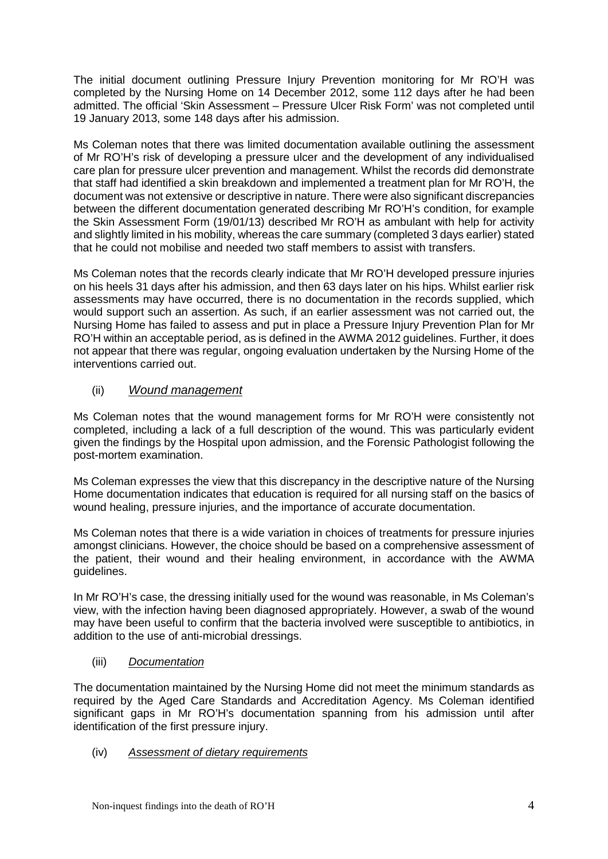The initial document outlining Pressure Injury Prevention monitoring for Mr RO'H was completed by the Nursing Home on 14 December 2012, some 112 days after he had been admitted. The official 'Skin Assessment – Pressure Ulcer Risk Form' was not completed until 19 January 2013, some 148 days after his admission.

Ms Coleman notes that there was limited documentation available outlining the assessment of Mr RO'H's risk of developing a pressure ulcer and the development of any individualised care plan for pressure ulcer prevention and management. Whilst the records did demonstrate that staff had identified a skin breakdown and implemented a treatment plan for Mr RO'H, the document was not extensive or descriptive in nature. There were also significant discrepancies between the different documentation generated describing Mr RO'H's condition, for example the Skin Assessment Form (19/01/13) described Mr RO'H as ambulant with help for activity and slightly limited in his mobility, whereas the care summary (completed 3 days earlier) stated that he could not mobilise and needed two staff members to assist with transfers.

Ms Coleman notes that the records clearly indicate that Mr RO'H developed pressure injuries on his heels 31 days after his admission, and then 63 days later on his hips. Whilst earlier risk assessments may have occurred, there is no documentation in the records supplied, which would support such an assertion. As such, if an earlier assessment was not carried out, the Nursing Home has failed to assess and put in place a Pressure Injury Prevention Plan for Mr RO'H within an acceptable period, as is defined in the AWMA 2012 guidelines. Further, it does not appear that there was regular, ongoing evaluation undertaken by the Nursing Home of the interventions carried out.

## (ii) *Wound management*

Ms Coleman notes that the wound management forms for Mr RO'H were consistently not completed, including a lack of a full description of the wound. This was particularly evident given the findings by the Hospital upon admission, and the Forensic Pathologist following the post-mortem examination.

Ms Coleman expresses the view that this discrepancy in the descriptive nature of the Nursing Home documentation indicates that education is required for all nursing staff on the basics of wound healing, pressure injuries, and the importance of accurate documentation.

Ms Coleman notes that there is a wide variation in choices of treatments for pressure injuries amongst clinicians. However, the choice should be based on a comprehensive assessment of the patient, their wound and their healing environment, in accordance with the AWMA guidelines.

In Mr RO'H's case, the dressing initially used for the wound was reasonable, in Ms Coleman's view, with the infection having been diagnosed appropriately. However, a swab of the wound may have been useful to confirm that the bacteria involved were susceptible to antibiotics, in addition to the use of anti-microbial dressings.

## (iii) *Documentation*

The documentation maintained by the Nursing Home did not meet the minimum standards as required by the Aged Care Standards and Accreditation Agency. Ms Coleman identified significant gaps in Mr RO'H's documentation spanning from his admission until after identification of the first pressure injury.

#### (iv) *Assessment of dietary requirements*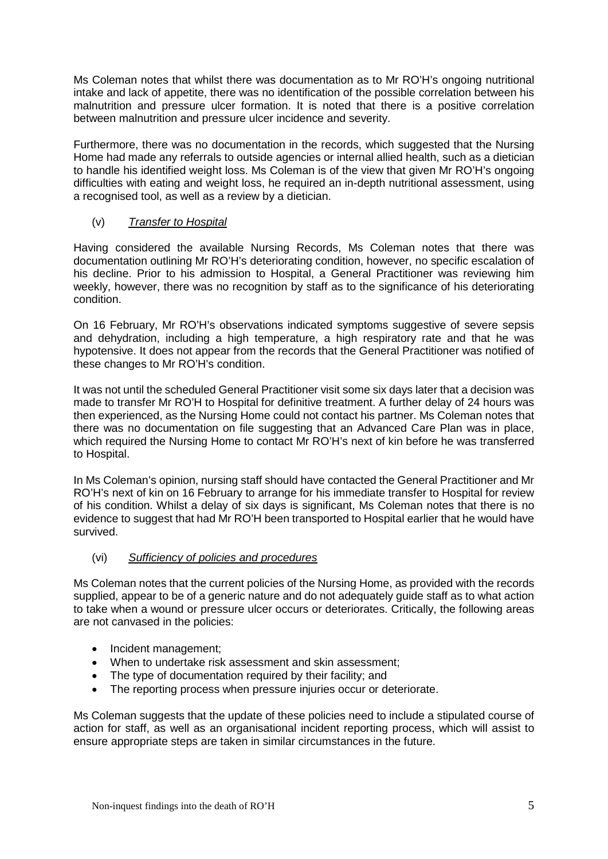Ms Coleman notes that whilst there was documentation as to Mr RO'H's ongoing nutritional intake and lack of appetite, there was no identification of the possible correlation between his malnutrition and pressure ulcer formation. It is noted that there is a positive correlation between malnutrition and pressure ulcer incidence and severity.

Furthermore, there was no documentation in the records, which suggested that the Nursing Home had made any referrals to outside agencies or internal allied health, such as a dietician to handle his identified weight loss. Ms Coleman is of the view that given Mr RO'H's ongoing difficulties with eating and weight loss, he required an in-depth nutritional assessment, using a recognised tool, as well as a review by a dietician.

## (v) *Transfer to Hospital*

Having considered the available Nursing Records, Ms Coleman notes that there was documentation outlining Mr RO'H's deteriorating condition, however, no specific escalation of his decline. Prior to his admission to Hospital, a General Practitioner was reviewing him weekly, however, there was no recognition by staff as to the significance of his deteriorating condition.

On 16 February, Mr RO'H's observations indicated symptoms suggestive of severe sepsis and dehydration, including a high temperature, a high respiratory rate and that he was hypotensive. It does not appear from the records that the General Practitioner was notified of these changes to Mr RO'H's condition.

It was not until the scheduled General Practitioner visit some six days later that a decision was made to transfer Mr RO'H to Hospital for definitive treatment. A further delay of 24 hours was then experienced, as the Nursing Home could not contact his partner. Ms Coleman notes that there was no documentation on file suggesting that an Advanced Care Plan was in place, which required the Nursing Home to contact Mr RO'H's next of kin before he was transferred to Hospital.

In Ms Coleman's opinion, nursing staff should have contacted the General Practitioner and Mr RO'H's next of kin on 16 February to arrange for his immediate transfer to Hospital for review of his condition. Whilst a delay of six days is significant, Ms Coleman notes that there is no evidence to suggest that had Mr RO'H been transported to Hospital earlier that he would have survived.

## (vi) *Sufficiency of policies and procedures*

Ms Coleman notes that the current policies of the Nursing Home, as provided with the records supplied, appear to be of a generic nature and do not adequately guide staff as to what action to take when a wound or pressure ulcer occurs or deteriorates. Critically, the following areas are not canvased in the policies:

- Incident management;
- When to undertake risk assessment and skin assessment;
- The type of documentation required by their facility; and
- The reporting process when pressure injuries occur or deteriorate.

Ms Coleman suggests that the update of these policies need to include a stipulated course of action for staff, as well as an organisational incident reporting process, which will assist to ensure appropriate steps are taken in similar circumstances in the future.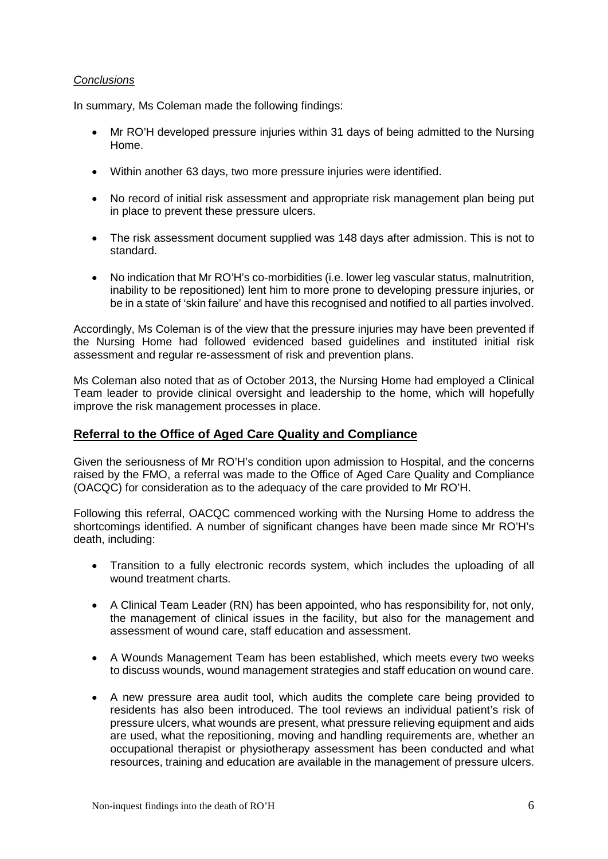#### *Conclusions*

In summary, Ms Coleman made the following findings:

- Mr RO'H developed pressure injuries within 31 days of being admitted to the Nursing Home.
- Within another 63 days, two more pressure injuries were identified.
- No record of initial risk assessment and appropriate risk management plan being put in place to prevent these pressure ulcers.
- The risk assessment document supplied was 148 days after admission. This is not to standard.
- No indication that Mr RO'H's co-morbidities (i.e. lower leg vascular status, malnutrition, inability to be repositioned) lent him to more prone to developing pressure injuries, or be in a state of 'skin failure' and have this recognised and notified to all parties involved.

Accordingly, Ms Coleman is of the view that the pressure injuries may have been prevented if the Nursing Home had followed evidenced based guidelines and instituted initial risk assessment and regular re-assessment of risk and prevention plans.

Ms Coleman also noted that as of October 2013, the Nursing Home had employed a Clinical Team leader to provide clinical oversight and leadership to the home, which will hopefully improve the risk management processes in place.

## **Referral to the Office of Aged Care Quality and Compliance**

Given the seriousness of Mr RO'H's condition upon admission to Hospital, and the concerns raised by the FMO, a referral was made to the Office of Aged Care Quality and Compliance (OACQC) for consideration as to the adequacy of the care provided to Mr RO'H.

Following this referral, OACQC commenced working with the Nursing Home to address the shortcomings identified. A number of significant changes have been made since Mr RO'H's death, including:

- Transition to a fully electronic records system, which includes the uploading of all wound treatment charts.
- A Clinical Team Leader (RN) has been appointed, who has responsibility for, not only, the management of clinical issues in the facility, but also for the management and assessment of wound care, staff education and assessment.
- A Wounds Management Team has been established, which meets every two weeks to discuss wounds, wound management strategies and staff education on wound care.
- A new pressure area audit tool, which audits the complete care being provided to residents has also been introduced. The tool reviews an individual patient's risk of pressure ulcers, what wounds are present, what pressure relieving equipment and aids are used, what the repositioning, moving and handling requirements are, whether an occupational therapist or physiotherapy assessment has been conducted and what resources, training and education are available in the management of pressure ulcers.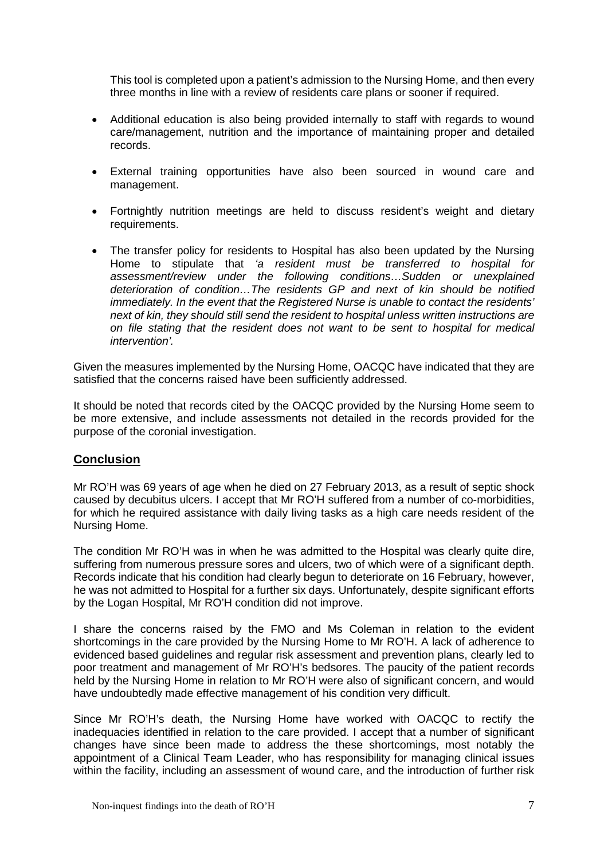This tool is completed upon a patient's admission to the Nursing Home, and then every three months in line with a review of residents care plans or sooner if required.

- Additional education is also being provided internally to staff with regards to wound care/management, nutrition and the importance of maintaining proper and detailed records.
- External training opportunities have also been sourced in wound care and management.
- Fortnightly nutrition meetings are held to discuss resident's weight and dietary requirements.
- The transfer policy for residents to Hospital has also been updated by the Nursing Home to stipulate that *'a resident must be transferred to hospital for assessment/review under the following conditions…Sudden or unexplained deterioration of condition…The residents GP and next of kin should be notified immediately. In the event that the Registered Nurse is unable to contact the residents' next of kin, they should still send the resident to hospital unless written instructions are on file stating that the resident does not want to be sent to hospital for medical intervention'.*

Given the measures implemented by the Nursing Home, OACQC have indicated that they are satisfied that the concerns raised have been sufficiently addressed.

It should be noted that records cited by the OACQC provided by the Nursing Home seem to be more extensive, and include assessments not detailed in the records provided for the purpose of the coronial investigation.

## **Conclusion**

Mr RO'H was 69 years of age when he died on 27 February 2013, as a result of septic shock caused by decubitus ulcers. I accept that Mr RO'H suffered from a number of co-morbidities, for which he required assistance with daily living tasks as a high care needs resident of the Nursing Home.

The condition Mr RO'H was in when he was admitted to the Hospital was clearly quite dire, suffering from numerous pressure sores and ulcers, two of which were of a significant depth. Records indicate that his condition had clearly begun to deteriorate on 16 February, however, he was not admitted to Hospital for a further six days. Unfortunately, despite significant efforts by the Logan Hospital, Mr RO'H condition did not improve.

I share the concerns raised by the FMO and Ms Coleman in relation to the evident shortcomings in the care provided by the Nursing Home to Mr RO'H. A lack of adherence to evidenced based guidelines and regular risk assessment and prevention plans, clearly led to poor treatment and management of Mr RO'H's bedsores. The paucity of the patient records held by the Nursing Home in relation to Mr RO'H were also of significant concern, and would have undoubtedly made effective management of his condition very difficult.

Since Mr RO'H's death, the Nursing Home have worked with OACQC to rectify the inadequacies identified in relation to the care provided. I accept that a number of significant changes have since been made to address the these shortcomings, most notably the appointment of a Clinical Team Leader, who has responsibility for managing clinical issues within the facility, including an assessment of wound care, and the introduction of further risk